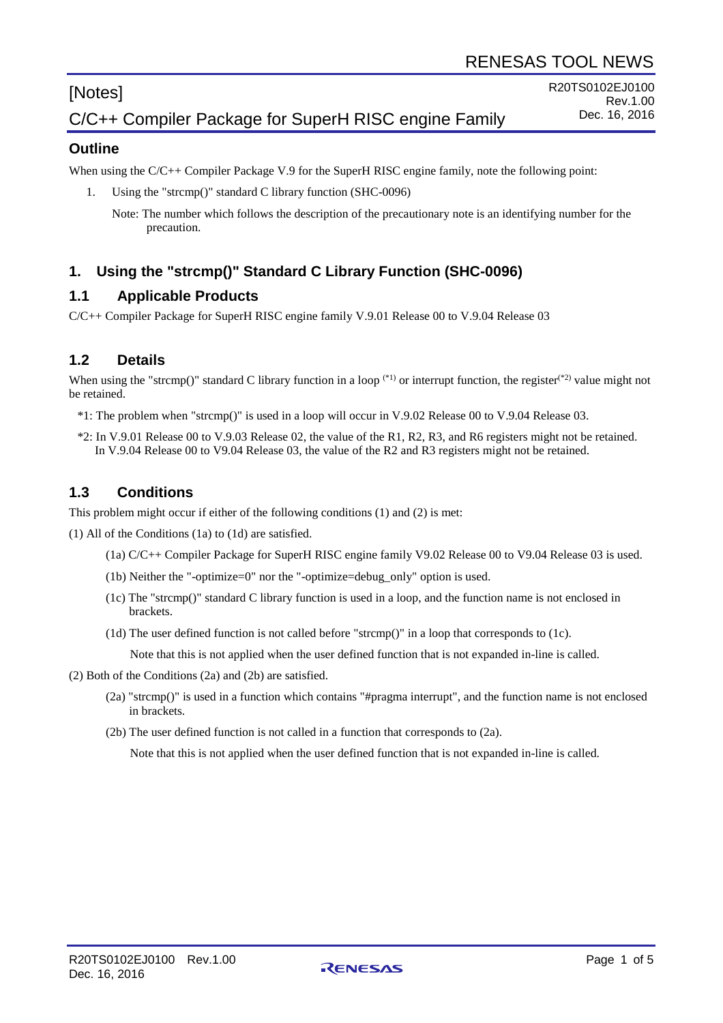# [Notes]

#### **Outline**

When using the C/C++ Compiler Package V.9 for the SuperH RISC engine family, note the following point:

1. Using the "strcmp()" standard C library function (SHC-0096)

Note: The number which follows the description of the precautionary note is an identifying number for the precaution.

# **1. Using the "strcmp()" Standard C Library Function (SHC-0096)**

#### **1.1 Applicable Products**

C/C++ Compiler Package for SuperH RISC engine family V.9.01 Release 00 to V.9.04 Release 03

#### **1.2 Details**

When using the "strcmp()" standard C library function in a loop  $(1)$  or interrupt function, the register $(1)$ <sup>2</sup>) value might not be retained.

- \*1: The problem when "strcmp()" is used in a loop will occur in V.9.02 Release 00 to V.9.04 Release 03.
- \*2: In V.9.01 Release 00 to V.9.03 Release 02, the value of the R1, R2, R3, and R6 registers might not be retained. In V.9.04 Release 00 to V9.04 Release 03, the value of the R2 and R3 registers might not be retained.

#### **1.3 Conditions**

This problem might occur if either of the following conditions (1) and (2) is met:

(1) All of the Conditions (1a) to (1d) are satisfied.

- (1a) C/C++ Compiler Package for SuperH RISC engine family V9.02 Release 00 to V9.04 Release 03 is used.
- (1b) Neither the "-optimize=0" nor the "-optimize=debug\_only" option is used.
- (1c) The "strcmp()" standard C library function is used in a loop, and the function name is not enclosed in brackets.
- (1d) The user defined function is not called before "strcmp()" in a loop that corresponds to (1c).

Note that this is not applied when the user defined function that is not expanded in-line is called.

(2) Both of the Conditions (2a) and (2b) are satisfied.

- (2a) "strcmp()" is used in a function which contains "#pragma interrupt", and the function name is not enclosed in brackets.
- (2b) The user defined function is not called in a function that corresponds to (2a).

Note that this is not applied when the user defined function that is not expanded in-line is called.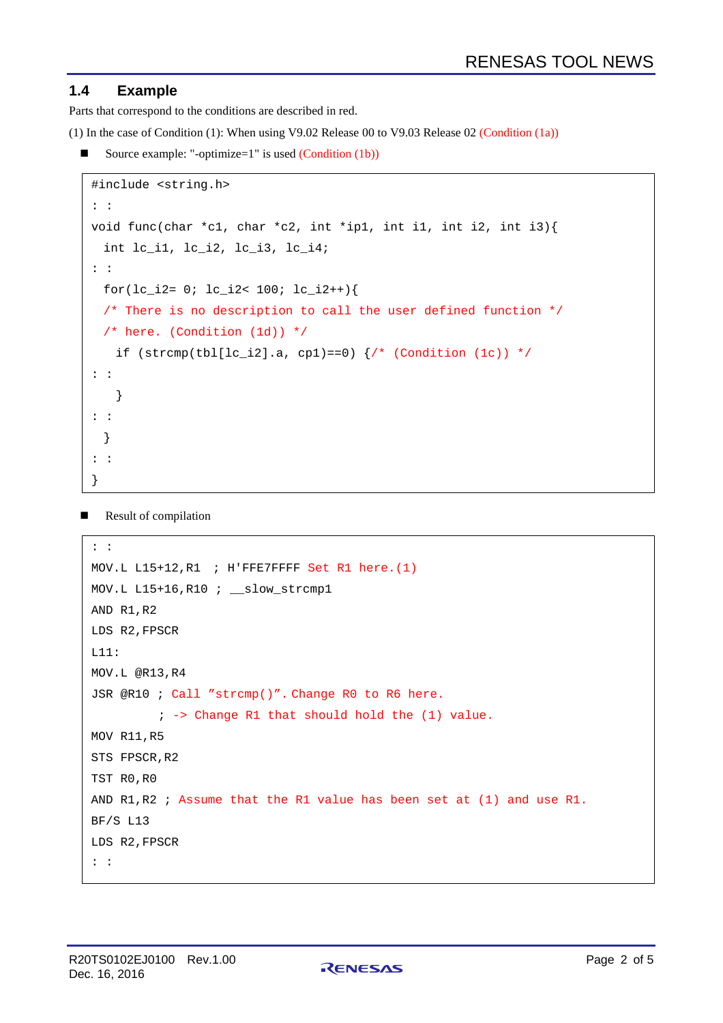## **1.4 Example**

Parts that correspond to the conditions are described in red.

(1) In the case of Condition (1): When using V9.02 Release 00 to V9.03 Release 02 (Condition (1a))

Source example: "-optimize=1" is used  $(Condition (1b))$ 

```
#include <string.h>
: :
void func(char *c1, char *c2, int *ip1, int i1, int i2, int i3){
 int lc_i1, lc_i2, lc_i3, lc_i4;
: :
 for(lc_i^i^2 = 0; lc_i^i^2 < 100; lc_i^i^2++)/* There is no description to call the user defined function *//* here. (Condition (1d)) */ 
   if (strcmp(tbl[lc_i2].a, cp1)==0) \frac{1}{x} (Condition (1c)) */
: :
   }
: :
  }
: :
}
```
Result of compilation

```
: :
MOV.L L15+12,R1 ; H'FFE7FFFF Set R1 here.(1)
MOV.L L15+16,R10 ; __slow_strcmp1
AND R1,R2
LDS R2,FPSCR
L11:
MOV.L @R13,R4
JSR @R10 ; Call "strcmp()". Change R0 to R6 here.
         ; -> Change R1 that should hold the (1) value. 
MOV R11,R5
STS FPSCR, R2
TST R0,R0
AND R1,R2 ; Assume that the R1 value has been set at (1) and use R1.
BF/S L13
LDS R2,FPSCR
: :
```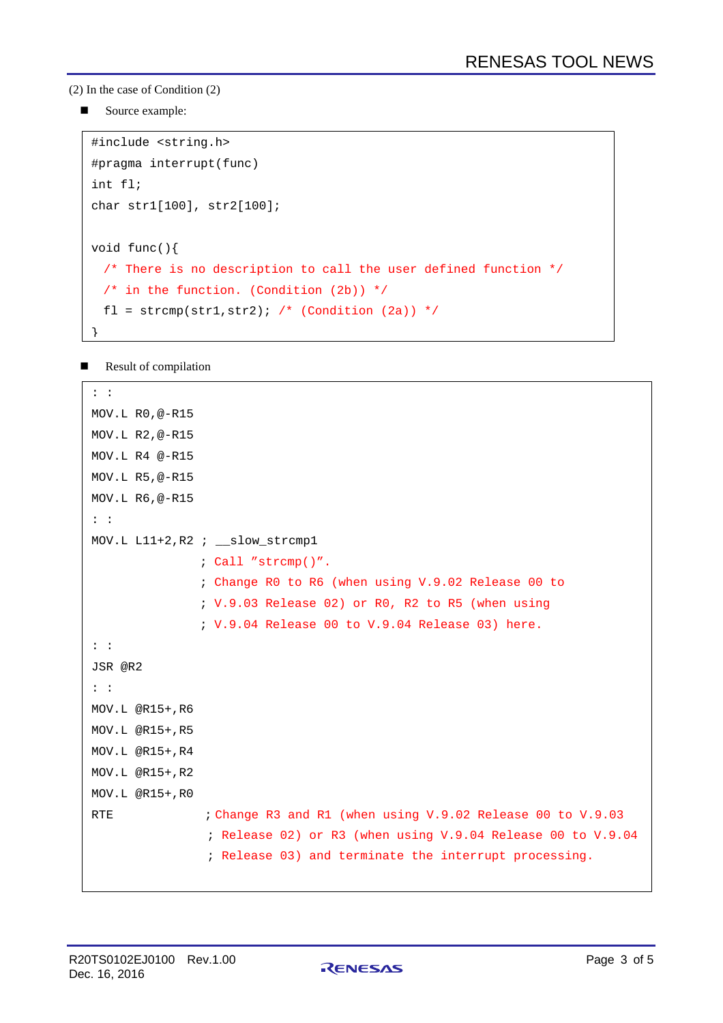(2) In the case of Condition (2)

Source example:

```
#include <string.h>
#pragma interrupt(func)
int fl;
char str1[100], str2[100];
void func(){
  /* There is no description to call the user defined function */
 /* in the function. (Condition (2b)) */
 fl = strcmp(str1,str2); /* (Condition (2a)) */
}
```
Result of compilation

```
: :
MOV.L R0,@-R15
MOV.L R2,@-R15
MOV.L R4 @-R15
MOV.L R5,@-R15
MOV.L R6,@-R15
: :
MOV.L L11+2,R2 ; __slow_strcmp1
               ; Call "strcmp()".
               ; Change R0 to R6 (when using V.9.02 Release 00 to 
               ; V.9.03 Release 02) or R0, R2 to R5 (when using
               ; V.9.04 Release 00 to V.9.04 Release 03) here.
: :
JSR @R2
: :
MOV.L @R15+,R6
MOV.L @R15+,R5
MOV.L @R15+,R4
MOV.L @R15+,R2
MOV.L @R15+,R0
RTE : Change R3 and R1 (when using V.9.02 Release 00 to V.9.03
                ; Release 02) or R3 (when using V.9.04 Release 00 to V.9.04
                ; Release 03) and terminate the interrupt processing.
```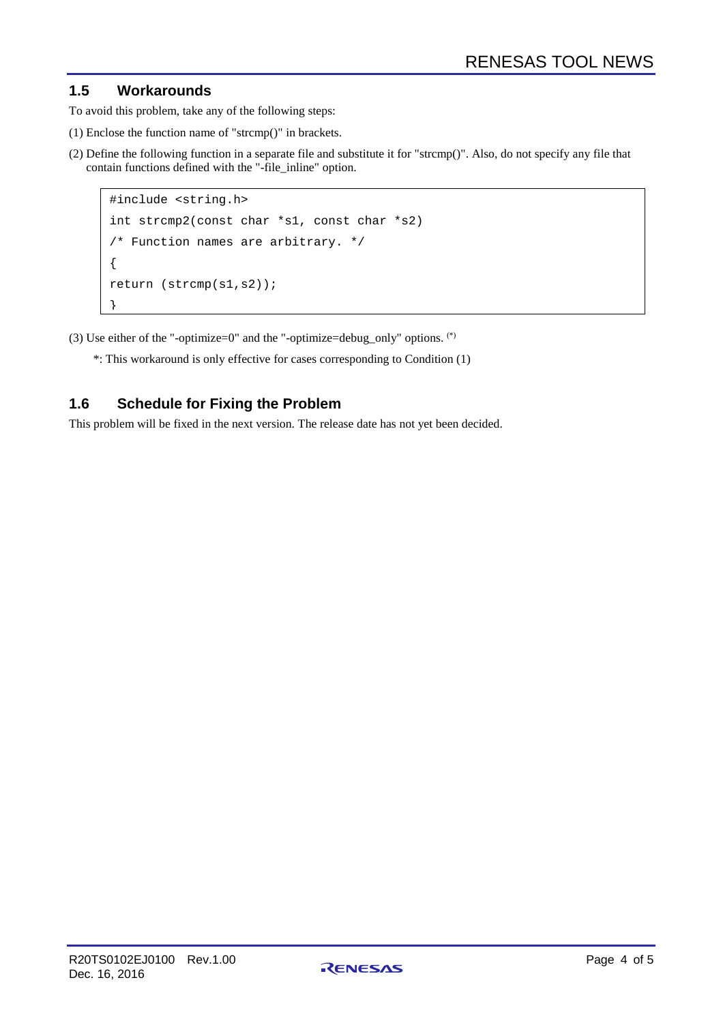# **1.5 Workarounds**

To avoid this problem, take any of the following steps:

- (1) Enclose the function name of "strcmp()" in brackets.
- (2) Define the following function in a separate file and substitute it for "strcmp()". Also, do not specify any file that contain functions defined with the "-file\_inline" option.

```
#include <string.h>
int strcmp2(const char *s1, const char *s2) 
/* Function names are arbitrary. */
{
return (strcmp(s1,s2));
}
```
(3) Use either of the "-optimize=0" and the "-optimize=debug\_only" options.  $(*)$ 

\*: This workaround is only effective for cases corresponding to Condition (1)

# **1.6 Schedule for Fixing the Problem**

This problem will be fixed in the next version. The release date has not yet been decided.